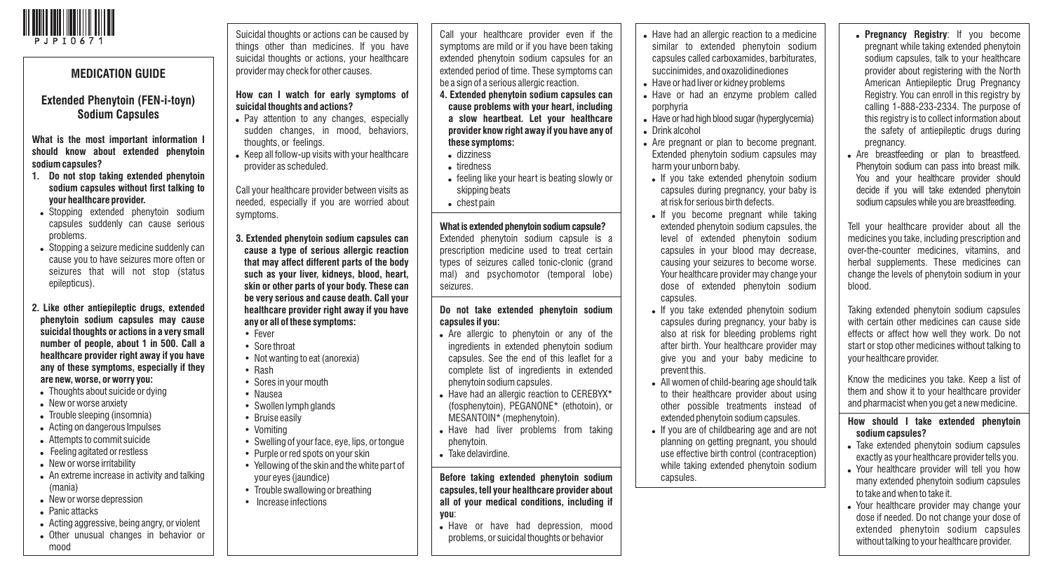

## Suicidal thoughts or actions can be caused by things other than medicines. If you have suicidal thoughts or actions, your healthcare provider may check for other causes. **How can I watch for early symptoms of suicidal thoughts and actions?** • Pay attention to any changes, especially sudden changes, in mood, behaviors, thoughts, or feelings. • Keep all follow-up visits with your healthcare provider as scheduled. Call your healthcare provider between visits as needed, especially if you are worried about symptoms. **3. Extended phenytoin sodium capsules can cause a type of serious allergic reaction that may affect different parts of the body such as your liver, kidneys, blood, heart, skin or other parts of your body. These can be very serious and cause death. Call your healthcare provider right away if you have any or all of these symptoms:** • Fever • Sore throat • Not wanting to eat (anorexia) • Rash • Sores in your mouth • Nausea • Swollen lymph glands • Bruise easily • Vomiting • Swelling of your face, eye, lips, or tongue • Purple or red spots on your skin Call your healthcare provider even if the symptoms are mild or if you have been taking extended phenytoin sodium capsules for an extended period of time. These symptoms can be a sign of a serious allergic reaction. **4. Extended phenytoin sodium capsules can cause problems with your heart, including a slow heartbeat. Let your healthcare provider know right away if you have any of these symptoms:**  ! dizziness . tiredness • feeling like your heart is beating slowly or skipping beats • chest pain **What is extended phenytoin sodium capsule?** Extended phenytoin sodium capsule is a prescription medicine used to treat certain types of seizures called tonic-clonic (grand mal) and psychomotor (temporal lobe) seizures. **Do not take extended phenytoin sodium capsules if you:** • Are allergic to phenytoin or any of the ingredients in extended phenytoin sodium capsules. See the end of this leaflet for a complete list of ingredients in extended phenytoin sodium capsules. • Have had an allergic reaction to CEREBYX\* (fosphenytoin), PEGANONE\* (ethotoin), or MESANTOIN\* (mephenytoin). . Have had liver problems from taking phenytoin. . Take delavirdine. • Have had an allergic reaction to a medicine similar to extended phenytoin sodium capsules called carboxamides, barbiturates, succinimides, and oxazolidinediones . Have or had liver or kidney problems . Have or had an enzyme problem called porphyria . Have or had high blood sugar (hyperglycemia) . Drink alcohol • Are pregnant or plan to become pregnant. Extended phenytoin sodium capsules may harm your unborn baby. . If you take extended phenytoin sodium capsules during pregnancy, your baby is at risk for serious birth defects. . If you become pregnant while taking extended phenytoin sodium capsules, the level of extended phenytoin sodium capsules in your blood may decrease, causing your seizures to become worse. Your healthcare provider may change your dose of extended phenytoin sodium capsules. . If you take extended phenytoin sodium capsules during pregnancy, your baby is also at risk for bleeding problems right after birth. Your healthcare provider may give you and your baby medicine to prevent this. . All women of child-bearing age should talk to their healthcare provider about using other possible treatments instead of extended phenytoin sodium capsules. . If you are of childbearing age and are not planning on getting pregnant, you should use effective birth control (contraception) **MEDICATION GUIDE Extended Phenytoin (FEN-i-toyn) Sodium Capsules What is the most important information I should know about extended phenytoin sodium capsules? 1. Do not stop taking extended phenytoin sodium capsules without first talking to your healthcare provider.** . Stopping extended phenytoin sodium capsules suddenly can cause serious problems. • Stopping a seizure medicine suddenly can cause you to have seizures more often or seizures that will not stop (status epilepticus). **2. Like other antiepileptic drugs, extended phenytoin sodium capsules may cause suicidal thoughts or actions in a very small number of people, about 1 in 500. Call a healthcare provider right away if you have any of these symptoms, especially if they are new, worse, or worry you:** • Thoughts about suicide or dying • New or worse anxiety • Trouble sleeping (insomnia) . Acting on dangerous Impulses • Attempts to commit suicide • Feeling agitated or restless . New or worse irritability

- An extreme increase in activity and talking (mania)
- New or worse depression
- . Panic attacks
- . Acting aggressive, being angry, or violent
- . Other unusual changes in behavior or mood
- Yellowing of the skin and the white part of your eyes (jaundice)
- Trouble swallowing or breathing
- 
- 

• Increase infections

**Before taking extended phenytoin sodium capsules, tell your healthcare provider about all of your medical conditions, including if you**:

- . Have or have had depression, mood problems, or suicidal thoughts or behavior
- while taking extended phenytoin sodium capsules.
- ! **Pregnancy Registry**: If you become pregnant while taking extended phenytoin sodium capsules, talk to your healthcare provider about registering with the North American Antiepileptic Drug Pregnancy Registry. You can enroll in this registry by calling 1-888-233-2334. The purpose of this registry is to collect information about the safety of antiepileptic drugs during pregnancy.
- . Are breastfeeding or plan to breastfeed. Phenytoin sodium can pass into breast milk. You and your healthcare provider should decide if you will take extended phenytoin sodium capsules while you are breastfeeding.

Tell your healthcare provider about all the medicines you take, including prescription and over-the-counter medicines, vitamins, and herbal supplements. These medicines can change the levels of phenytoin sodium in your blood.

Taking extended phenytoin sodium capsules with certain other medicines can cause side effects or affect how well they work. Do not start or stop other medicines without talking to your healthcare provider.

Know the medicines you take. Keep a list of them and show it to your healthcare provider and pharmacist when you get a new medicine.

## **How should I take extended phenytoin sodium capsules?**

- . Take extended phenytoin sodium capsules exactly as your healthcare provider tells you.
- . Your healthcare provider will tell you how many extended phenytoin sodium capsules to take and when to take it.
- . Your healthcare provider may change your dose if needed. Do not change your dose of extended phenytoin sodium capsules without talking to your healthcare provider.